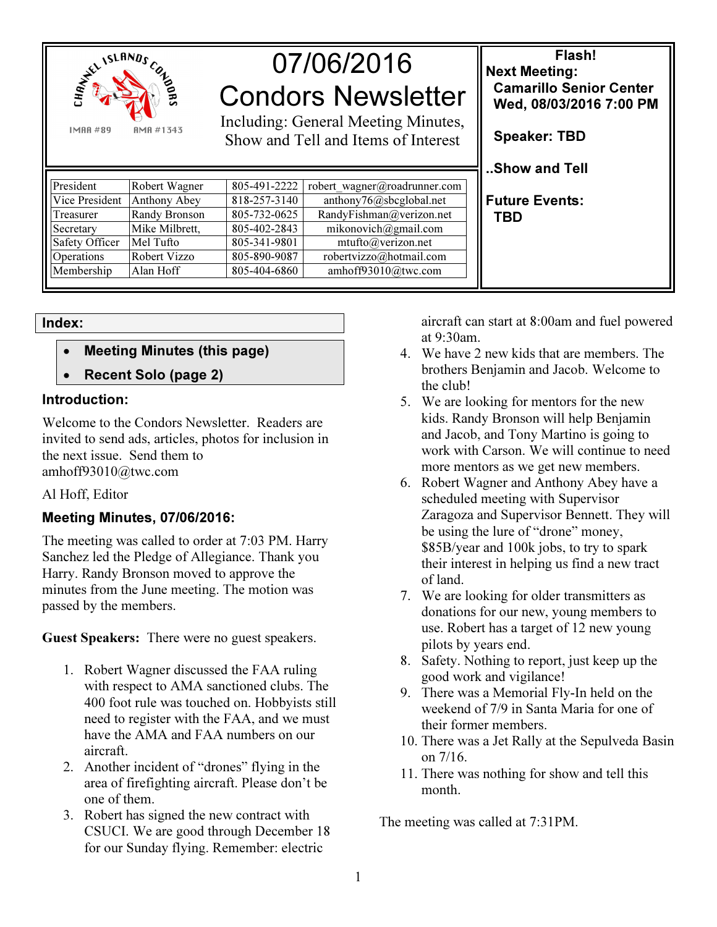

# 07/06/2016 Condors Newsletter

Including: General Meeting Minutes, Show and Tell and Items of Interest

| President             | Robert Wagner  | 805-491-2222 | robert wagner@roadrunner.com |
|-----------------------|----------------|--------------|------------------------------|
| Vice President        | Anthony Abey   | 818-257-3140 | anthony76@sbcglobal.net      |
| Treasurer             | Randy Bronson  | 805-732-0625 | RandyFishman@verizon.net     |
| Secretary             | Mike Milbrett, | 805-402-2843 | mikonovich@gmail.com         |
| <b>Safety Officer</b> | Mel Tufto      | 805-341-9801 | mtufto@verizon.net           |
| Operations            | Robert Vizzo   | 805-890-9087 | robertvizzo@hotmail.com      |
| Membership            | Alan Hoff      | 805-404-6860 | amhoff93010@twc.com          |

Index:

- Meeting Minutes (this page)
- Recent Solo (page 2)

#### Introduction:

Welcome to the Condors Newsletter. Readers are invited to send ads, articles, photos for inclusion in the next issue. Send them to amhoff93010@twc.com

## Al Hoff, Editor

## Meeting Minutes, 07/06/2016:

The meeting was called to order at 7:03 PM. Harry Sanchez led the Pledge of Allegiance. Thank you Harry. Randy Bronson moved to approve the minutes from the June meeting. The motion was passed by the members.

Guest Speakers: There were no guest speakers.

- 1. Robert Wagner discussed the FAA ruling with respect to AMA sanctioned clubs. The 400 foot rule was touched on. Hobbyists still need to register with the FAA, and we must have the AMA and FAA numbers on our aircraft.
- 2. Another incident of "drones" flying in the area of firefighting aircraft. Please don't be one of them.
- 3. Robert has signed the new contract with CSUCI. We are good through December 18 for our Sunday flying. Remember: electric

aircraft can start at 8:00am and fuel powered at 9:30am.

Flash!

 Camarillo Senior Center Wed, 08/03/2016 7:00 PM

Next Meeting:

Speaker: TBD

..Show and Tell

Future Events:

TBD

- 4. We have 2 new kids that are members. The brothers Benjamin and Jacob. Welcome to the club!
- 5. We are looking for mentors for the new kids. Randy Bronson will help Benjamin and Jacob, and Tony Martino is going to work with Carson. We will continue to need more mentors as we get new members.
- 6. Robert Wagner and Anthony Abey have a scheduled meeting with Supervisor Zaragoza and Supervisor Bennett. They will be using the lure of "drone" money, \$85B/year and 100k jobs, to try to spark their interest in helping us find a new tract of land.
- 7. We are looking for older transmitters as donations for our new, young members to use. Robert has a target of 12 new young pilots by years end.
- 8. Safety. Nothing to report, just keep up the good work and vigilance!
- 9. There was a Memorial Fly-In held on the weekend of 7/9 in Santa Maria for one of their former members.
- 10. There was a Jet Rally at the Sepulveda Basin on 7/16.
- 11. There was nothing for show and tell this month.

The meeting was called at 7:31PM.